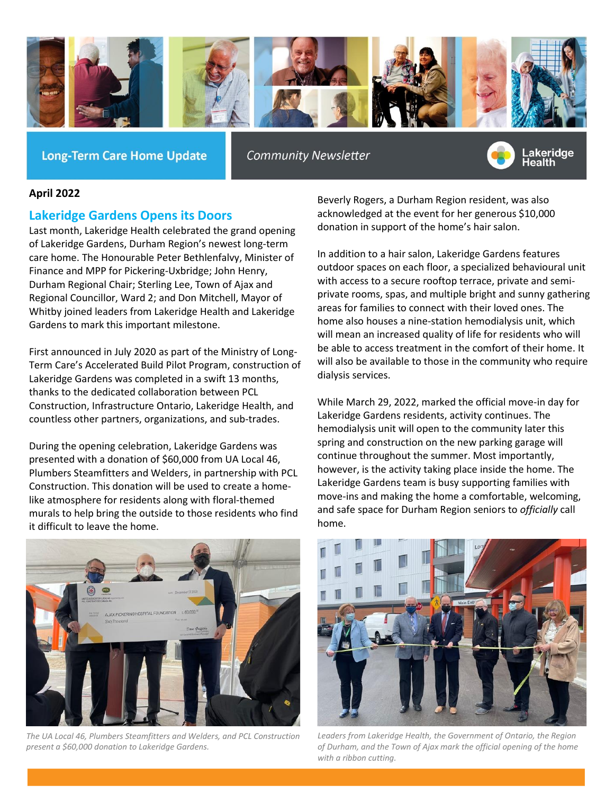

**Long-Term Care Home Update** 

**Community Newsletter** 



## **April 2022**

**Lakeridge Gardens Opens its Doors**

Last month, Lakeridge Health celebrated the grand opening of Lakeridge Gardens, Durham Region's newest long-term care home. The Honourable Peter Bethlenfalvy, Minister of Finance and MPP for Pickering-Uxbridge; John Henry, Durham Regional Chair; Sterling Lee, Town of Ajax and Regional Councillor, Ward 2; and Don Mitchell, Mayor of Whitby joined leaders from Lakeridge Health and Lakeridge Gardens to mark this important milestone.

First announced in July 2020 as part of the Ministry of Long-Term Care's Accelerated Build Pilot Program, construction of Lakeridge Gardens was completed in a swift 13 months, thanks to the dedicated collaboration between PCL Construction, Infrastructure Ontario, Lakeridge Health, and countless other partners, organizations, and sub-trades.

During the opening celebration, Lakeridge Gardens was presented with a donation of \$60,000 from UA Local 46, Plumbers Steamfitters and Welders, in partnership with PCL Construction. This donation will be used to create a homelike atmosphere for residents along with floral-themed murals to help bring the outside to those residents who find it difficult to leave the home.

Beverly Rogers, a Durham Region resident, was also acknowledged at the event for her generous \$10,000 donation in support of the home's hair salon.

In addition to a hair salon, Lakeridge Gardens features outdoor spaces on each floor, a specialized behavioural unit with access to a secure rooftop terrace, private and semiprivate rooms, spas, and multiple bright and sunny gathering areas for families to connect with their loved ones. The home also houses a nine-station hemodialysis unit, which will mean an increased quality of life for residents who will be able to access treatment in the comfort of their home. It will also be available to those in the community who require dialysis services.

While March 29, 2022, marked the official move-in day for Lakeridge Gardens residents, activity continues. The hemodialysis unit will open to the community later this spring and construction on the new parking garage will continue throughout the summer. Most importantly, however, is the activity taking place inside the home. The Lakeridge Gardens team is busy supporting families with move-ins and making the home a comfortable, welcoming, and safe space for Durham Region seniors to *officially* call home.



*The UA Local 46, Plumbers Steamfitters and Welders, and PCL Construction present a \$60,000 donation to Lakeridge Gardens.*



*Leaders from Lakeridge Health, the Government of Ontario, the Region of Durham, and the Town of Ajax mark the official opening of the home with a ribbon cutting.*